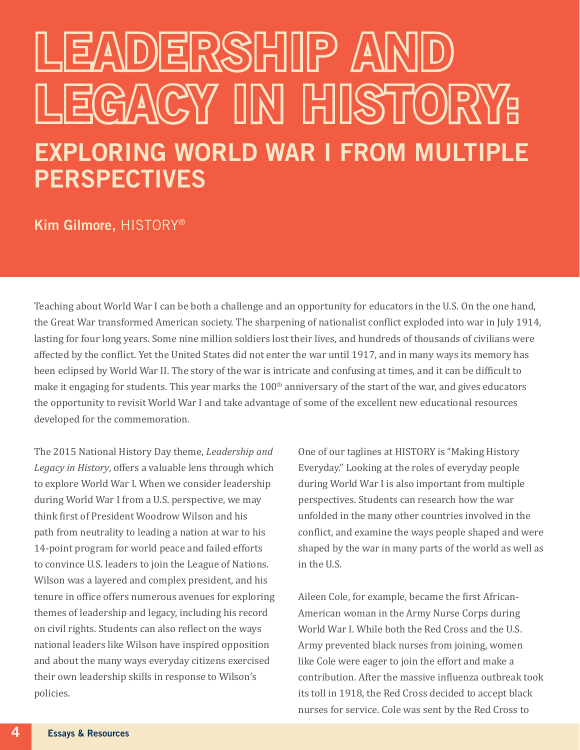## LEADERSHIIP AI LEGACY IN HISTORY: EXPLORING WORLD WAR I FROM MULTIPLE **PERSPECTIVES**

## Kim Gilmore, HISTORY®

Teaching about World War I can be both a challenge and an opportunity for educators in the U.S. On the one hand, the Great War transformed American society. The sharpening of nationalist conflict exploded into war in July 1914, lasting for four long years. Some nine million soldiers lost their lives, and hundreds of thousands of civilians were affected by the conflict. Yet the United States did not enter the war until 1917, and in many ways its memory has been eclipsed by World War II. The story of the war is intricate and confusing at times, and it can be difficult to make it engaging for students. This year marks the 100<sup>th</sup> anniversary of the start of the war, and gives educators the opportunity to revisit World War I and take advantage of some of the excellent new educational resources developed for the commemoration.

The 2015 National History Day theme, *Leadership and Legacy in History*, offers a valuable lens through which to explore World War I. When we consider leadership during World War I from a U.S. perspective, we may think first of President Woodrow Wilson and his path from neutrality to leading a nation at war to his 14-point program for world peace and failed efforts to convince U.S. leaders to join the League of Nations. Wilson was a layered and complex president, and his tenure in office offers numerous avenues for exploring themes of leadership and legacy, including his record on civil rights. Students can also reflect on the ways national leaders like Wilson have inspired opposition and about the many ways everyday citizens exercised their own leadership skills in response to Wilson's policies.

One of our taglines at HISTORY is "Making History Everyday." Looking at the roles of everyday people during World War I is also important from multiple perspectives. Students can research how the war unfolded in the many other countries involved in the conflict, and examine the ways people shaped and were shaped by the war in many parts of the world as well as in the U.S.

Aileen Cole, for example, became the first African-American woman in the Army Nurse Corps during World War I. While both the Red Cross and the U.S. Army prevented black nurses from joining, women like Cole were eager to join the effort and make a contribution. After the massive influenza outbreak took its toll in 1918, the Red Cross decided to accept black nurses for service. Cole was sent by the Red Cross to